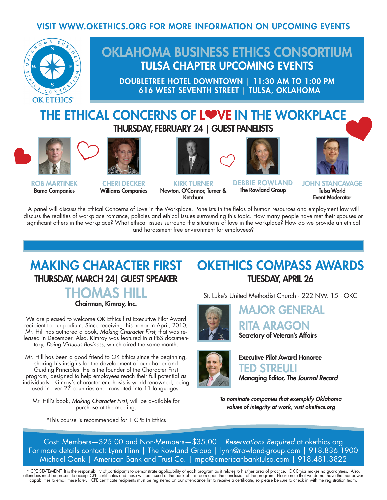#### VISIT WWW.OKETHICS.ORG FOR MORE INFORMATION ON UPCOMING EVENTS



## OKLAHOMA BUSINESS ETHICS CONSORTIUM TULSA CHAPTER UPCOMING EVENTS

DOUBLETREE HOTEL DOWNTOWN | 11:30 AM TO 1:00 PM 616 WEST SEVENTH STREET | TULSA, OKLAHOMA

### THE ETHICAL CONCERNS OF LOVE IN THE WORKPLACE THURSDAY, FEBRUARY 24 | GUEST PANELISTS



ROB MARTINEK Bama Companies



CHERI DECKER Williams Companies



KIRK TURNER Newton, O'Connor, Turner & Ketchum



DEBBIE ROWLAND The Rowland Group



A panel will discuss the Ethical Concerns of Love in the Workplace. Panelists in the fields of human resources and employment law will discuss the realities of workplace romance, policies and ethical issues surrounding this topic. How many people have met their spouses or significant others in the workplace? What ethical issues surround the situations of love in the workplace? How do we provide an ethical and harassment free environment for employees?

## MAKING CHARACTER FIRST THURSDAY, MARCH 24| GUEST SPEAKER

## THOMAS HILL

Chairman, Kimray, Inc.

We are pleased to welcome OK Ethics first Executive Pilot Award recipient to our podium. Since receiving this honor in April, 2010, Mr. Hill has authored a book, *Making Character First,* that was released in December. Also, Kimray was featured in a PBS documentary, *Doing Virtuous Business*, which aired the same month.

Mr. Hill has been a good friend to OK Ethics since the beginning, sharing his insights for the development of our charter and Guiding Principles. He is the founder of the Character First program, designed to help employees reach their full potential as individuals. Kimray's character emphasis is world-renowned, being used in over  $27$  countries and translated into 11 languages.

Mr. Hill's book, *Making Character First*, will be available for purchase at the meeting.

\*This course is recommended for 1 CPE in Ethics

### OKETHICS COMPASS AWARDS TUESDAY, APRIL 26

St. Luke's United Methodist Church · 222 NW. 15 · OKC



MAJOR GENERAL RITA ARAGON Secretary of Veteran's Affairs



Executive Pilot Award Honoree TED STREULI Managing Editor, *The Journal Record*

*To nominate companies that exemplify Oklahoma values of integrity at work, visit okethics.org*

Cost: Members—\$25.00 and Non-Members—\$35.00 | *Reservations Required* at okethics.org For more details contact: Lynn Flinn | The Rowland Group | lynn@rowland-group.com | 918.836.1900 Michael Oonk | American Bank and Trust Co. | mpo@americanbanktulsa.com | 918.481.3822

\* CPE STATEMENT: It is the responsibility of participants to demonstrate applicability of each program as it relates to his/her area of practice. OK Ethics makes no guarantees. Also,<br>attendees must be present to accept CPE